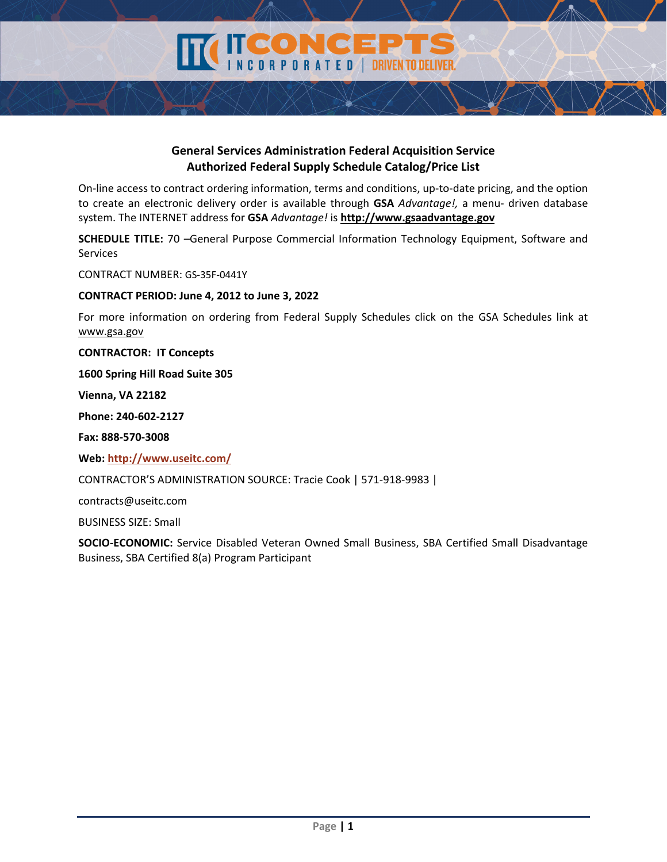**DRIVEN TO DELIVER** 

ORPORATED

On‐line access to contract ordering information, terms and conditions, up‐to‐date pricing, and the option to create an electronic delivery order is available through **GSA** *Advantage!,* a menu‐ driven database system. The INTERNET address for **GSA** *Advantage!* is **http://www.gsaadvantage.gov**

**SCHEDULE TITLE:** 70 –General Purpose Commercial Information Technology Equipment, Software and Services

CONTRACT NUMBER: GS‐35F‐0441Y

**CONTRACT PERIOD: June 4, 2012 to June 3, 2022**

For more information on ordering from Federal Supply Schedules click on the GSA Schedules link at www.gsa.gov

**CONTRACTOR: IT Concepts**

**1600 Spring Hill Road Suite 305**

**Vienna, VA 22182**

**Phone: 240‐602‐2127**

**Fax: 888‐570‐3008**

**Web: http://www.useitc.com/**

CONTRACTOR'S ADMINISTRATION SOURCE: Tracie Cook | 571‐918‐9983 |

contracts@useitc.com

BUSINESS SIZE: Small

**SOCIO‐ECONOMIC:** Service Disabled Veteran Owned Small Business, SBA Certified Small Disadvantage Business, SBA Certified 8(a) Program Participant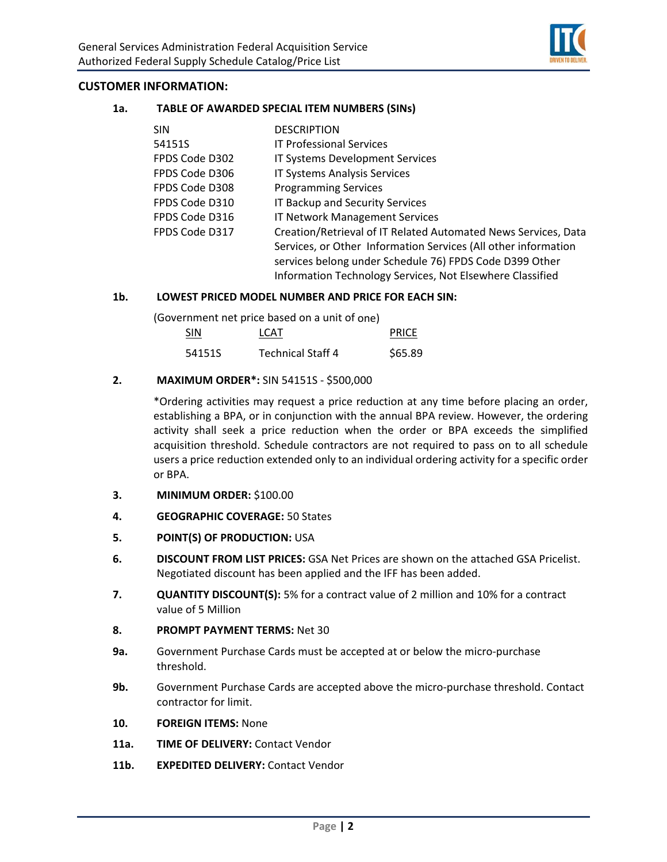

### **CUSTOMER INFORMATION:**

#### **1a. TABLE OF AWARDED SPECIAL ITEM NUMBERS (SINs)**

| <b>SIN</b>     | <b>DESCRIPTION</b>                                             |
|----------------|----------------------------------------------------------------|
| 54151S         | <b>IT Professional Services</b>                                |
| FPDS Code D302 | IT Systems Development Services                                |
| FPDS Code D306 | IT Systems Analysis Services                                   |
| FPDS Code D308 | <b>Programming Services</b>                                    |
| FPDS Code D310 | IT Backup and Security Services                                |
| FPDS Code D316 | <b>IT Network Management Services</b>                          |
| FPDS Code D317 | Creation/Retrieval of IT Related Automated News Services, Data |
|                | Services, or Other Information Services (All other information |
|                | services belong under Schedule 76) FPDS Code D399 Other        |
|                | Information Technology Services, Not Elsewhere Classified      |

#### **1b. LOWEST PRICED MODEL NUMBER AND PRICE FOR EACH SIN:**

(Government net price based on a unit of one)

| <b>SIN</b> | LCAT                     | <b>PRICE</b> |
|------------|--------------------------|--------------|
| 54151S     | <b>Technical Staff 4</b> | \$65.89      |

#### **2. MAXIMUM ORDER\*:** SIN 54151S ‐ \$500,000

\*Ordering activities may request a price reduction at any time before placing an order, establishing a BPA, or in conjunction with the annual BPA review. However, the ordering activity shall seek a price reduction when the order or BPA exceeds the simplified acquisition threshold. Schedule contractors are not required to pass on to all schedule users a price reduction extended only to an individual ordering activity for a specific order or BPA.

- **3. MINIMUM ORDER:** \$100.00
- **4. GEOGRAPHIC COVERAGE:** 50 States
- **5. POINT(S) OF PRODUCTION:** USA
- **6. DISCOUNT FROM LIST PRICES:** GSA Net Prices are shown on the attached GSA Pricelist. Negotiated discount has been applied and the IFF has been added.
- **7. QUANTITY DISCOUNT(S):** 5% for a contract value of 2 million and 10% for a contract value of 5 Million
- **8. PROMPT PAYMENT TERMS:** Net 30
- **9a.** Government Purchase Cards must be accepted at or below the micro‐purchase threshold.
- **9b.** Government Purchase Cards are accepted above the micro-purchase threshold. Contact contractor for limit.
- **10. FOREIGN ITEMS:** None
- **11a. TIME OF DELIVERY:** Contact Vendor
- **11b. EXPEDITED DELIVERY:** Contact Vendor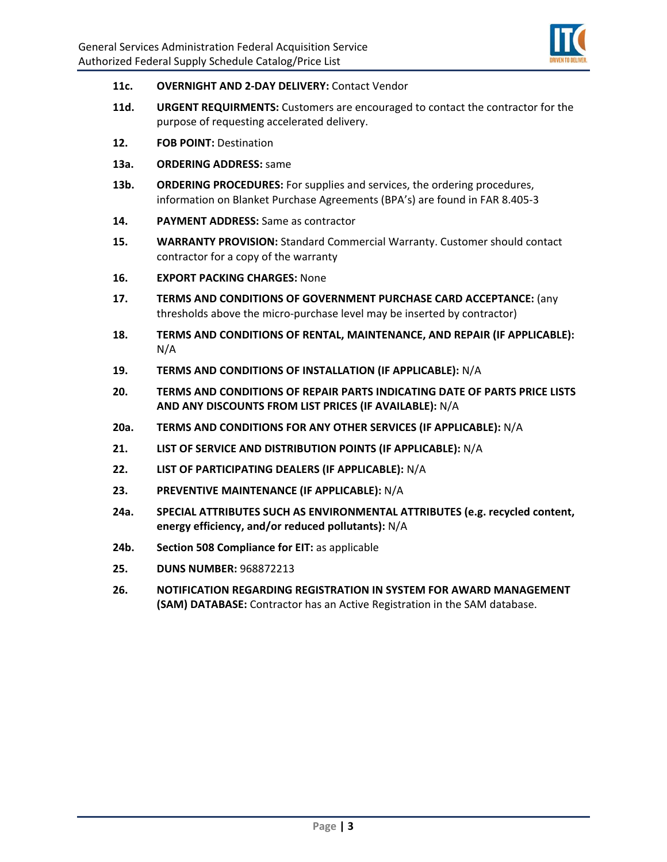

- **11c. OVERNIGHT AND 2‐DAY DELIVERY:** Contact Vendor
- **11d. URGENT REQUIRMENTS:** Customers are encouraged to contact the contractor for the purpose of requesting accelerated delivery.
- **12. FOB POINT:** Destination
- **13a. ORDERING ADDRESS:** same
- **13b. ORDERING PROCEDURES:** For supplies and services, the ordering procedures, information on Blanket Purchase Agreements (BPA's) are found in FAR 8.405‐3
- **14. PAYMENT ADDRESS:** Same as contractor
- **15. WARRANTY PROVISION:** Standard Commercial Warranty. Customer should contact contractor for a copy of the warranty
- **16. EXPORT PACKING CHARGES:** None
- **17. TERMS AND CONDITIONS OF GOVERNMENT PURCHASE CARD ACCEPTANCE:** (any thresholds above the micro‐purchase level may be inserted by contractor)
- **18. TERMS AND CONDITIONS OF RENTAL, MAINTENANCE, AND REPAIR (IF APPLICABLE):** N/A
- **19. TERMS AND CONDITIONS OF INSTALLATION (IF APPLICABLE):** N/A
- **20. TERMS AND CONDITIONS OF REPAIR PARTS INDICATING DATE OF PARTS PRICE LISTS AND ANY DISCOUNTS FROM LIST PRICES (IF AVAILABLE):** N/A
- **20a. TERMS AND CONDITIONS FOR ANY OTHER SERVICES (IF APPLICABLE):** N/A
- **21. LIST OF SERVICE AND DISTRIBUTION POINTS (IF APPLICABLE):** N/A
- **22. LIST OF PARTICIPATING DEALERS (IF APPLICABLE):** N/A
- **23. PREVENTIVE MAINTENANCE (IF APPLICABLE):** N/A
- **24a. SPECIAL ATTRIBUTES SUCH AS ENVIRONMENTAL ATTRIBUTES (e.g. recycled content, energy efficiency, and/or reduced pollutants):** N/A
- **24b. Section 508 Compliance for EIT:** as applicable
- **25. DUNS NUMBER:** 968872213
- **26. NOTIFICATION REGARDING REGISTRATION IN SYSTEM FOR AWARD MANAGEMENT (SAM) DATABASE:** Contractor has an Active Registration in the SAM database.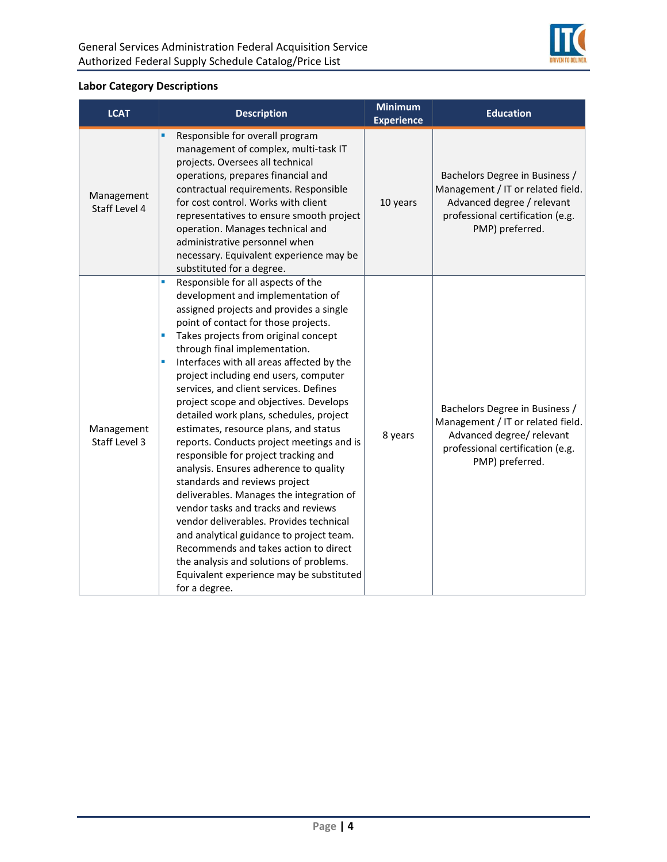

# **Labor Category Descriptions**

| <b>LCAT</b>                 | <b>Description</b>                                                                                                                                                                                                                                                                                                                                                                                                                                                                                                                                                                                                                                                                                                                                                                                                                                                                                                                                                                                             | <b>Minimum</b><br><b>Experience</b> | <b>Education</b>                                                                                                                                         |
|-----------------------------|----------------------------------------------------------------------------------------------------------------------------------------------------------------------------------------------------------------------------------------------------------------------------------------------------------------------------------------------------------------------------------------------------------------------------------------------------------------------------------------------------------------------------------------------------------------------------------------------------------------------------------------------------------------------------------------------------------------------------------------------------------------------------------------------------------------------------------------------------------------------------------------------------------------------------------------------------------------------------------------------------------------|-------------------------------------|----------------------------------------------------------------------------------------------------------------------------------------------------------|
| Management<br>Staff Level 4 | Responsible for overall program<br>management of complex, multi-task IT<br>projects. Oversees all technical<br>operations, prepares financial and<br>contractual requirements. Responsible<br>for cost control. Works with client<br>representatives to ensure smooth project<br>operation. Manages technical and<br>administrative personnel when<br>necessary. Equivalent experience may be<br>substituted for a degree.                                                                                                                                                                                                                                                                                                                                                                                                                                                                                                                                                                                     | 10 years                            | Bachelors Degree in Business /<br>Management / IT or related field.<br>Advanced degree / relevant<br>professional certification (e.g.<br>PMP) preferred. |
| Management<br>Staff Level 3 | Responsible for all aspects of the<br>a,<br>development and implementation of<br>assigned projects and provides a single<br>point of contact for those projects.<br>Takes projects from original concept<br>Ľ,<br>through final implementation.<br>Interfaces with all areas affected by the<br>Ľ,<br>project including end users, computer<br>services, and client services. Defines<br>project scope and objectives. Develops<br>detailed work plans, schedules, project<br>estimates, resource plans, and status<br>reports. Conducts project meetings and is<br>responsible for project tracking and<br>analysis. Ensures adherence to quality<br>standards and reviews project<br>deliverables. Manages the integration of<br>vendor tasks and tracks and reviews<br>vendor deliverables. Provides technical<br>and analytical guidance to project team.<br>Recommends and takes action to direct<br>the analysis and solutions of problems.<br>Equivalent experience may be substituted<br>for a degree. | 8 years                             | Bachelors Degree in Business /<br>Management / IT or related field.<br>Advanced degree/ relevant<br>professional certification (e.g.<br>PMP) preferred.  |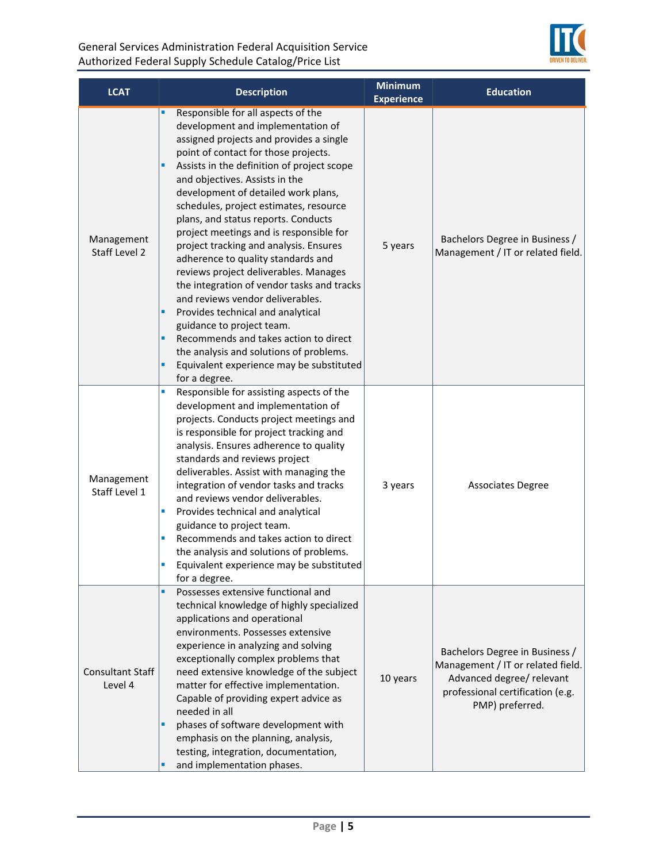

| <b>LCAT</b>                        | <b>Description</b>                                                                                                                                                                                                                                                                                                                                                                                                                                                                                                                                                                                                                                                                                                                                                                                                                                               | <b>Minimum</b><br><b>Experience</b> | <b>Education</b>                                                                                                                                        |
|------------------------------------|------------------------------------------------------------------------------------------------------------------------------------------------------------------------------------------------------------------------------------------------------------------------------------------------------------------------------------------------------------------------------------------------------------------------------------------------------------------------------------------------------------------------------------------------------------------------------------------------------------------------------------------------------------------------------------------------------------------------------------------------------------------------------------------------------------------------------------------------------------------|-------------------------------------|---------------------------------------------------------------------------------------------------------------------------------------------------------|
| Management<br>Staff Level 2        | Responsible for all aspects of the<br>development and implementation of<br>assigned projects and provides a single<br>point of contact for those projects.<br>Assists in the definition of project scope<br>٠<br>and objectives. Assists in the<br>development of detailed work plans,<br>schedules, project estimates, resource<br>plans, and status reports. Conducts<br>project meetings and is responsible for<br>project tracking and analysis. Ensures<br>adherence to quality standards and<br>reviews project deliverables. Manages<br>the integration of vendor tasks and tracks<br>and reviews vendor deliverables.<br>Provides technical and analytical<br>٠<br>guidance to project team.<br>Recommends and takes action to direct<br>٠<br>the analysis and solutions of problems.<br>Equivalent experience may be substituted<br>×,<br>for a degree. | 5 years                             | Bachelors Degree in Business /<br>Management / IT or related field.                                                                                     |
| Management<br>Staff Level 1        | Responsible for assisting aspects of the<br>Ù,<br>development and implementation of<br>projects. Conducts project meetings and<br>is responsible for project tracking and<br>analysis. Ensures adherence to quality<br>standards and reviews project<br>deliverables. Assist with managing the<br>integration of vendor tasks and tracks<br>and reviews vendor deliverables.<br>Provides technical and analytical<br>×<br>guidance to project team.<br>Recommends and takes action to direct<br>Ū,<br>the analysis and solutions of problems.<br>Equivalent experience may be substituted<br>for a degree.                                                                                                                                                                                                                                                       | 3 years                             | <b>Associates Degree</b>                                                                                                                                |
| <b>Consultant Staff</b><br>Level 4 | Possesses extensive functional and<br>٠<br>technical knowledge of highly specialized<br>applications and operational<br>environments. Possesses extensive<br>experience in analyzing and solving<br>exceptionally complex problems that<br>need extensive knowledge of the subject<br>matter for effective implementation.<br>Capable of providing expert advice as<br>needed in all<br>phases of software development with<br>٠<br>emphasis on the planning, analysis,<br>testing, integration, documentation,<br>and implementation phases.<br>п                                                                                                                                                                                                                                                                                                               | 10 years                            | Bachelors Degree in Business /<br>Management / IT or related field.<br>Advanced degree/ relevant<br>professional certification (e.g.<br>PMP) preferred. |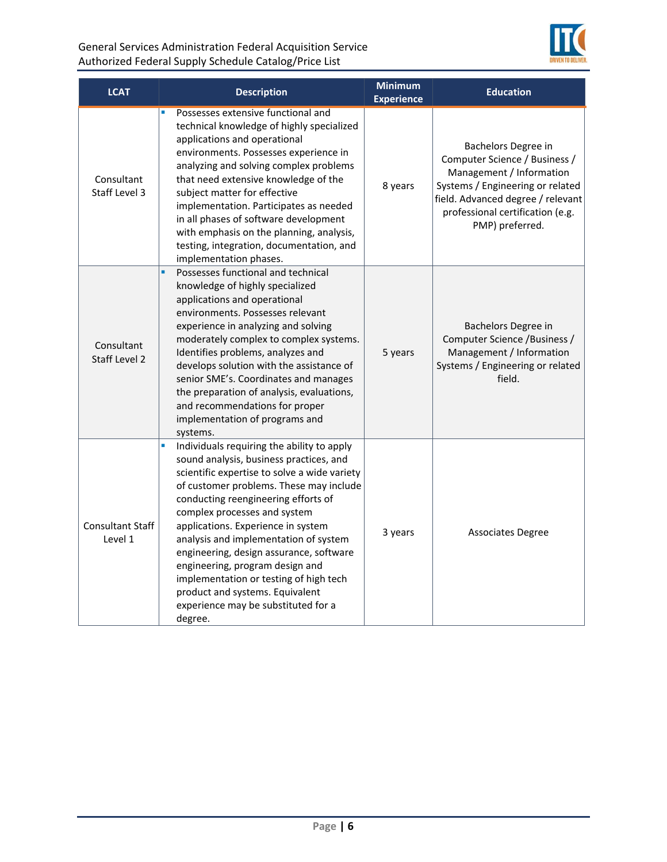

| <b>LCAT</b>                        | <b>Description</b>                                                                                                                                                                                                                                                                                                                                                                                                                                                                                                                                        | <b>Minimum</b><br><b>Experience</b> | <b>Education</b>                                                                                                                                                                                                 |
|------------------------------------|-----------------------------------------------------------------------------------------------------------------------------------------------------------------------------------------------------------------------------------------------------------------------------------------------------------------------------------------------------------------------------------------------------------------------------------------------------------------------------------------------------------------------------------------------------------|-------------------------------------|------------------------------------------------------------------------------------------------------------------------------------------------------------------------------------------------------------------|
| Consultant<br>Staff Level 3        | Possesses extensive functional and<br>$\blacksquare$<br>technical knowledge of highly specialized<br>applications and operational<br>environments. Possesses experience in<br>analyzing and solving complex problems<br>that need extensive knowledge of the<br>subject matter for effective<br>implementation. Participates as needed<br>in all phases of software development<br>with emphasis on the planning, analysis,<br>testing, integration, documentation, and<br>implementation phases.                                                         | 8 years                             | Bachelors Degree in<br>Computer Science / Business /<br>Management / Information<br>Systems / Engineering or related<br>field. Advanced degree / relevant<br>professional certification (e.g.<br>PMP) preferred. |
| Consultant<br>Staff Level 2        | Possesses functional and technical<br>ú,<br>knowledge of highly specialized<br>applications and operational<br>environments. Possesses relevant<br>experience in analyzing and solving<br>moderately complex to complex systems.<br>Identifies problems, analyzes and<br>develops solution with the assistance of<br>senior SME's. Coordinates and manages<br>the preparation of analysis, evaluations,<br>and recommendations for proper<br>implementation of programs and<br>systems.                                                                   | 5 years                             | Bachelors Degree in<br>Computer Science / Business /<br>Management / Information<br>Systems / Engineering or related<br>field.                                                                                   |
| <b>Consultant Staff</b><br>Level 1 | Ù,<br>Individuals requiring the ability to apply<br>sound analysis, business practices, and<br>scientific expertise to solve a wide variety<br>of customer problems. These may include<br>conducting reengineering efforts of<br>complex processes and system<br>applications. Experience in system<br>analysis and implementation of system<br>engineering, design assurance, software<br>engineering, program design and<br>implementation or testing of high tech<br>product and systems. Equivalent<br>experience may be substituted for a<br>degree. | 3 years                             | <b>Associates Degree</b>                                                                                                                                                                                         |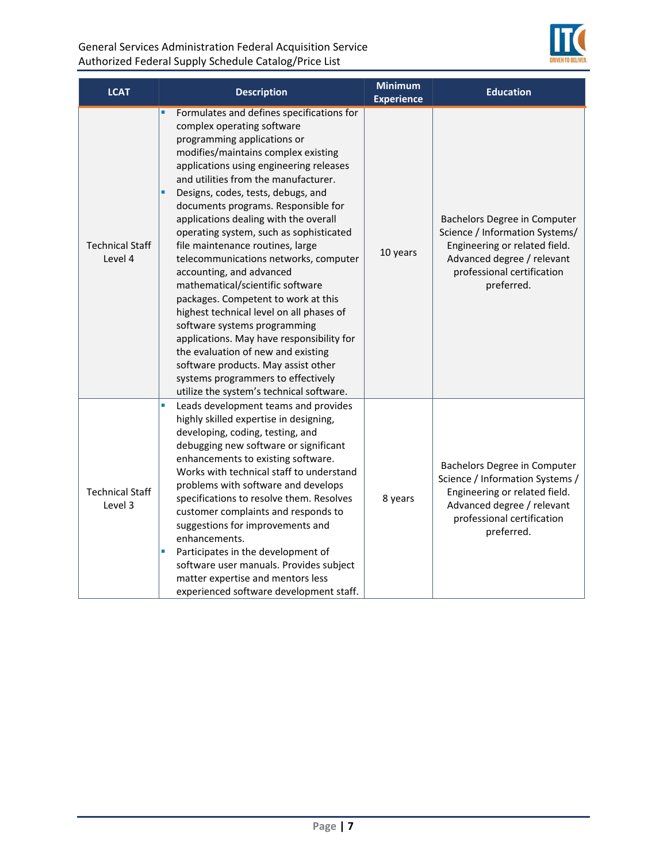

| <b>LCAT</b>                       | <b>Description</b>                                                                                                                                                                                                                                                                                                                                                                                                                                                                                                                                                                                                                                                                                                                                                                                                                                                                 | <b>Minimum</b><br><b>Experience</b> | <b>Education</b>                                                                                                                                                           |
|-----------------------------------|------------------------------------------------------------------------------------------------------------------------------------------------------------------------------------------------------------------------------------------------------------------------------------------------------------------------------------------------------------------------------------------------------------------------------------------------------------------------------------------------------------------------------------------------------------------------------------------------------------------------------------------------------------------------------------------------------------------------------------------------------------------------------------------------------------------------------------------------------------------------------------|-------------------------------------|----------------------------------------------------------------------------------------------------------------------------------------------------------------------------|
| <b>Technical Staff</b><br>Level 4 | Formulates and defines specifications for<br>complex operating software<br>programming applications or<br>modifies/maintains complex existing<br>applications using engineering releases<br>and utilities from the manufacturer.<br>Designs, codes, tests, debugs, and<br>٠<br>documents programs. Responsible for<br>applications dealing with the overall<br>operating system, such as sophisticated<br>file maintenance routines, large<br>telecommunications networks, computer<br>accounting, and advanced<br>mathematical/scientific software<br>packages. Competent to work at this<br>highest technical level on all phases of<br>software systems programming<br>applications. May have responsibility for<br>the evaluation of new and existing<br>software products. May assist other<br>systems programmers to effectively<br>utilize the system's technical software. | 10 years                            | Bachelors Degree in Computer<br>Science / Information Systems/<br>Engineering or related field.<br>Advanced degree / relevant<br>professional certification<br>preferred.  |
| <b>Technical Staff</b><br>Level 3 | Ű,<br>Leads development teams and provides<br>highly skilled expertise in designing,<br>developing, coding, testing, and<br>debugging new software or significant<br>enhancements to existing software.<br>Works with technical staff to understand<br>problems with software and develops<br>specifications to resolve them. Resolves<br>customer complaints and responds to<br>suggestions for improvements and<br>enhancements.<br>Participates in the development of<br>Ū,<br>software user manuals. Provides subject<br>matter expertise and mentors less<br>experienced software development staff.                                                                                                                                                                                                                                                                          | 8 years                             | Bachelors Degree in Computer<br>Science / Information Systems /<br>Engineering or related field.<br>Advanced degree / relevant<br>professional certification<br>preferred. |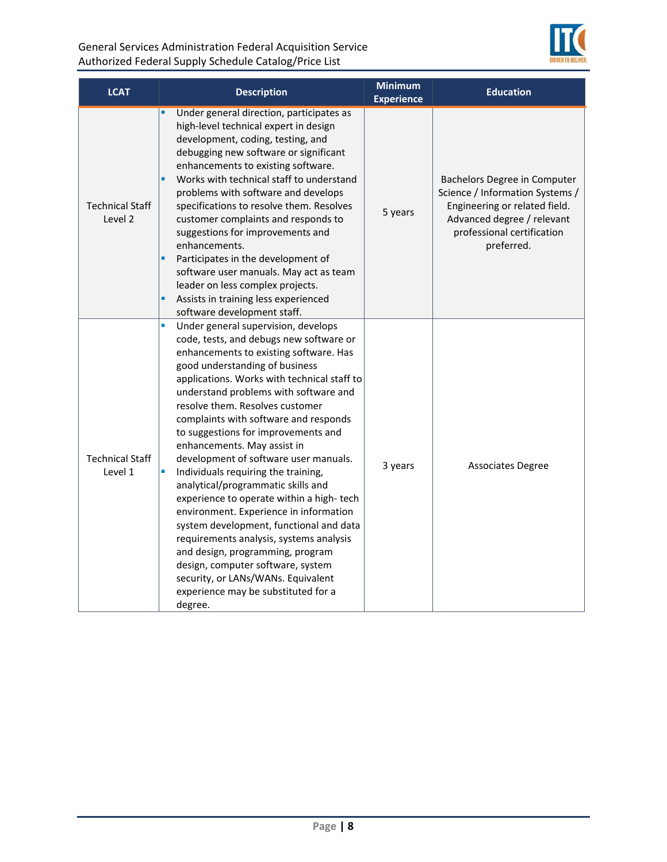

| <b>LCAT</b>                       | <b>Description</b>                                                                                                                                                                                                                                                                                                                                                                                                                                                                                                                                                                                                                                                                                                                                                                                                                                                                  | <b>Minimum</b><br><b>Experience</b> | <b>Education</b>                                                                                                                                                           |
|-----------------------------------|-------------------------------------------------------------------------------------------------------------------------------------------------------------------------------------------------------------------------------------------------------------------------------------------------------------------------------------------------------------------------------------------------------------------------------------------------------------------------------------------------------------------------------------------------------------------------------------------------------------------------------------------------------------------------------------------------------------------------------------------------------------------------------------------------------------------------------------------------------------------------------------|-------------------------------------|----------------------------------------------------------------------------------------------------------------------------------------------------------------------------|
| <b>Technical Staff</b><br>Level 2 | Under general direction, participates as<br>high-level technical expert in design<br>development, coding, testing, and<br>debugging new software or significant<br>enhancements to existing software.<br>Works with technical staff to understand<br>٠<br>problems with software and develops<br>specifications to resolve them. Resolves<br>customer complaints and responds to<br>suggestions for improvements and<br>enhancements.<br>×,<br>Participates in the development of<br>software user manuals. May act as team<br>leader on less complex projects.<br>Assists in training less experienced<br>٠<br>software development staff.                                                                                                                                                                                                                                         | 5 years                             | Bachelors Degree in Computer<br>Science / Information Systems /<br>Engineering or related field.<br>Advanced degree / relevant<br>professional certification<br>preferred. |
| <b>Technical Staff</b><br>Level 1 | ú,<br>Under general supervision, develops<br>code, tests, and debugs new software or<br>enhancements to existing software. Has<br>good understanding of business<br>applications. Works with technical staff to<br>understand problems with software and<br>resolve them. Resolves customer<br>complaints with software and responds<br>to suggestions for improvements and<br>enhancements. May assist in<br>development of software user manuals.<br>Individuals requiring the training,<br>L,<br>analytical/programmatic skills and<br>experience to operate within a high-tech<br>environment. Experience in information<br>system development, functional and data<br>requirements analysis, systems analysis<br>and design, programming, program<br>design, computer software, system<br>security, or LANs/WANs. Equivalent<br>experience may be substituted for a<br>degree. | 3 years                             | <b>Associates Degree</b>                                                                                                                                                   |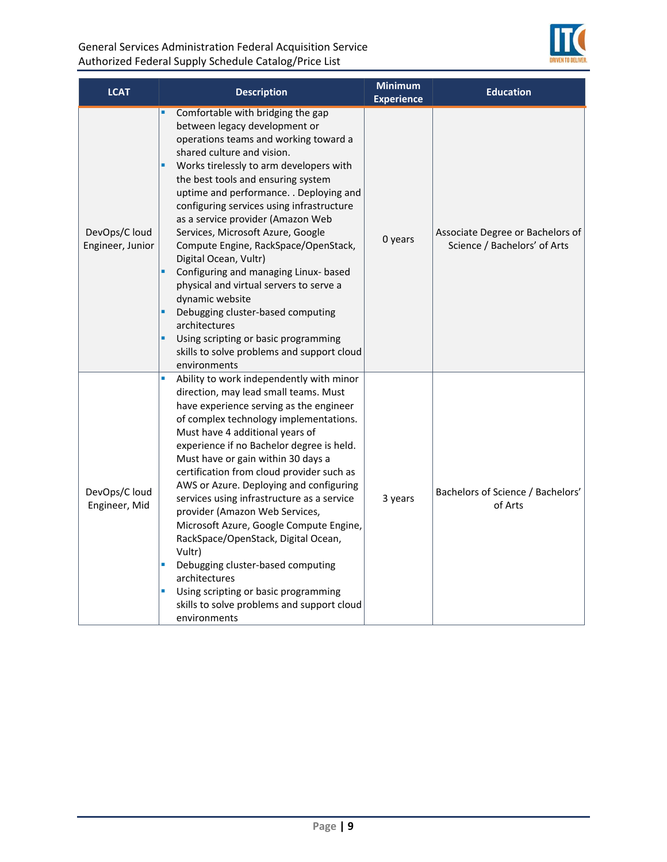

| <b>LCAT</b>                       | <b>Description</b>                                                                                                                                                                                                                                                                                                                                                                                                                                                                                                                                                                                                                                                                                                                              | <b>Minimum</b><br><b>Experience</b> | <b>Education</b>                                                 |
|-----------------------------------|-------------------------------------------------------------------------------------------------------------------------------------------------------------------------------------------------------------------------------------------------------------------------------------------------------------------------------------------------------------------------------------------------------------------------------------------------------------------------------------------------------------------------------------------------------------------------------------------------------------------------------------------------------------------------------------------------------------------------------------------------|-------------------------------------|------------------------------------------------------------------|
| DevOps/C loud<br>Engineer, Junior | Comfortable with bridging the gap<br>between legacy development or<br>operations teams and working toward a<br>shared culture and vision.<br>Works tirelessly to arm developers with<br>٠<br>the best tools and ensuring system<br>uptime and performance. . Deploying and<br>configuring services using infrastructure<br>as a service provider (Amazon Web<br>Services, Microsoft Azure, Google<br>Compute Engine, RackSpace/OpenStack,<br>Digital Ocean, Vultr)<br>Configuring and managing Linux- based<br>×<br>physical and virtual servers to serve a<br>dynamic website<br>Debugging cluster-based computing<br>architectures<br>×<br>Using scripting or basic programming<br>skills to solve problems and support cloud<br>environments | 0 years                             | Associate Degree or Bachelors of<br>Science / Bachelors' of Arts |
| DevOps/C loud<br>Engineer, Mid    | a,<br>Ability to work independently with minor<br>direction, may lead small teams. Must<br>have experience serving as the engineer<br>of complex technology implementations.<br>Must have 4 additional years of<br>experience if no Bachelor degree is held.<br>Must have or gain within 30 days a<br>certification from cloud provider such as<br>AWS or Azure. Deploying and configuring<br>services using infrastructure as a service<br>provider (Amazon Web Services,<br>Microsoft Azure, Google Compute Engine,<br>RackSpace/OpenStack, Digital Ocean,<br>Vultr)<br>Debugging cluster-based computing<br>Ù,<br>architectures<br>Using scripting or basic programming<br>L,<br>skills to solve problems and support cloud<br>environments  | 3 years                             | Bachelors of Science / Bachelors'<br>of Arts                     |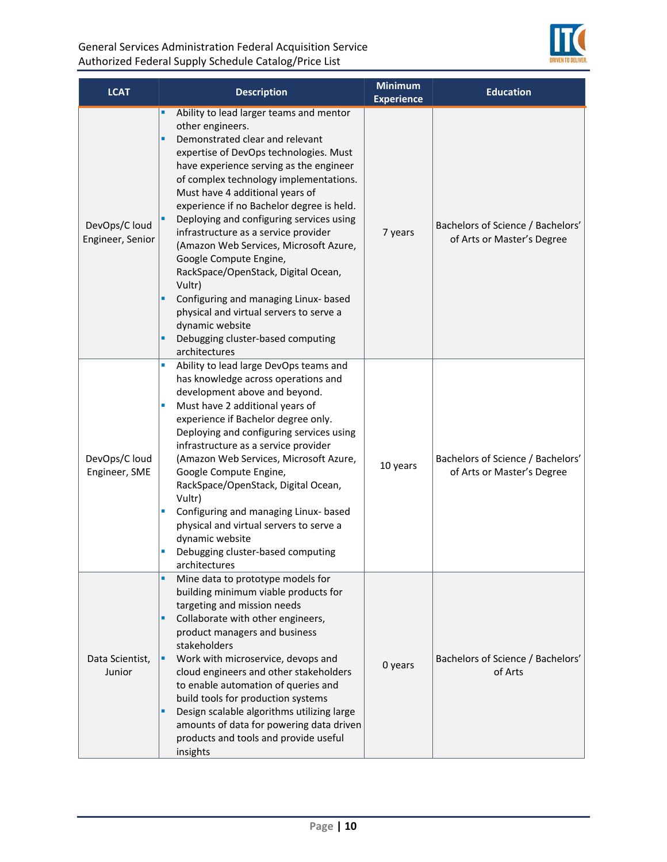

| <b>LCAT</b>                       | <b>Description</b>                                                                                                                                                                                                                                                                                                                                                                                                                                                                                                                                                                                                                                                                                       | <b>Minimum</b><br><b>Experience</b> | <b>Education</b>                                                |
|-----------------------------------|----------------------------------------------------------------------------------------------------------------------------------------------------------------------------------------------------------------------------------------------------------------------------------------------------------------------------------------------------------------------------------------------------------------------------------------------------------------------------------------------------------------------------------------------------------------------------------------------------------------------------------------------------------------------------------------------------------|-------------------------------------|-----------------------------------------------------------------|
| DevOps/C loud<br>Engineer, Senior | ٠<br>Ability to lead larger teams and mentor<br>other engineers.<br>×,<br>Demonstrated clear and relevant<br>expertise of DevOps technologies. Must<br>have experience serving as the engineer<br>of complex technology implementations.<br>Must have 4 additional years of<br>experience if no Bachelor degree is held.<br>Deploying and configuring services using<br>infrastructure as a service provider<br>(Amazon Web Services, Microsoft Azure,<br>Google Compute Engine,<br>RackSpace/OpenStack, Digital Ocean,<br>Vultr)<br>Configuring and managing Linux- based<br>٠<br>physical and virtual servers to serve a<br>dynamic website<br>Debugging cluster-based computing<br>٠<br>architectures | 7 years                             | Bachelors of Science / Bachelors'<br>of Arts or Master's Degree |
| DevOps/C loud<br>Engineer, SME    | Ability to lead large DevOps teams and<br>a,<br>has knowledge across operations and<br>development above and beyond.<br>Must have 2 additional years of<br>Ū,<br>experience if Bachelor degree only.<br>Deploying and configuring services using<br>infrastructure as a service provider<br>(Amazon Web Services, Microsoft Azure,<br>Google Compute Engine,<br>RackSpace/OpenStack, Digital Ocean,<br>Vultr)<br>×<br>Configuring and managing Linux- based<br>physical and virtual servers to serve a<br>dynamic website<br>Debugging cluster-based computing<br>×<br>architectures                                                                                                                     | 10 years                            | Bachelors of Science / Bachelors'<br>of Arts or Master's Degree |
| Data Scientist,<br>Junior         | Mine data to prototype models for<br>building minimum viable products for<br>targeting and mission needs<br>Collaborate with other engineers,<br>٠<br>product managers and business<br>stakeholders<br>Work with microservice, devops and<br>٠<br>cloud engineers and other stakeholders<br>to enable automation of queries and<br>build tools for production systems<br>Design scalable algorithms utilizing large<br>٠<br>amounts of data for powering data driven<br>products and tools and provide useful<br>insights                                                                                                                                                                                | 0 years                             | Bachelors of Science / Bachelors'<br>of Arts                    |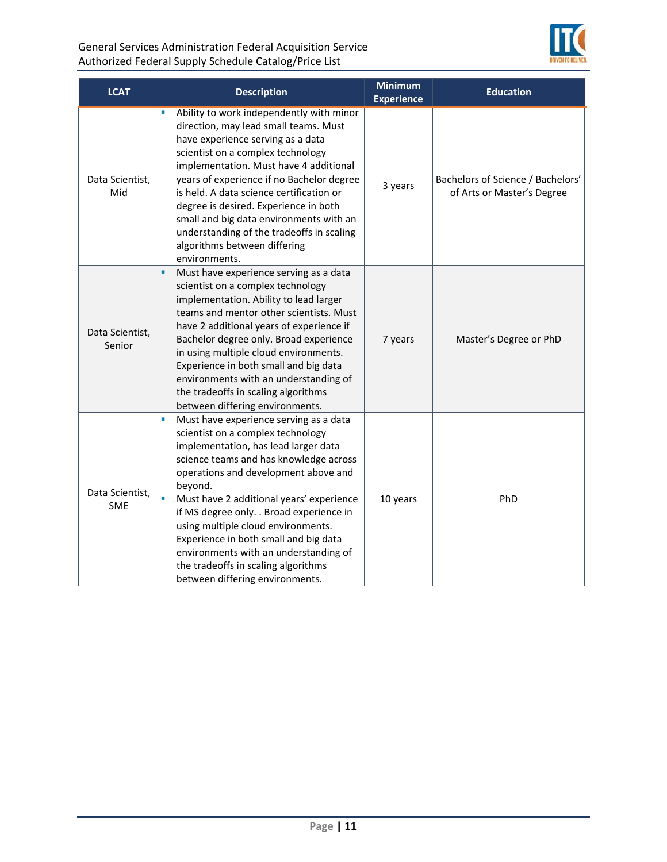

| <b>LCAT</b>                   | <b>Description</b>                                                                                                                                                                                                                                                                                                                                                                                                                                                                                               | <b>Minimum</b><br><b>Experience</b> | <b>Education</b>                                                |
|-------------------------------|------------------------------------------------------------------------------------------------------------------------------------------------------------------------------------------------------------------------------------------------------------------------------------------------------------------------------------------------------------------------------------------------------------------------------------------------------------------------------------------------------------------|-------------------------------------|-----------------------------------------------------------------|
| Data Scientist,<br>Mid        | Ability to work independently with minor<br>direction, may lead small teams. Must<br>have experience serving as a data<br>scientist on a complex technology<br>implementation. Must have 4 additional<br>years of experience if no Bachelor degree<br>is held. A data science certification or<br>degree is desired. Experience in both<br>small and big data environments with an<br>understanding of the tradeoffs in scaling<br>algorithms between differing<br>environments.                                 | 3 years                             | Bachelors of Science / Bachelors'<br>of Arts or Master's Degree |
| Data Scientist,<br>Senior     | Must have experience serving as a data<br>٠<br>scientist on a complex technology<br>implementation. Ability to lead larger<br>teams and mentor other scientists. Must<br>have 2 additional years of experience if<br>Bachelor degree only. Broad experience<br>in using multiple cloud environments.<br>Experience in both small and big data<br>environments with an understanding of<br>the tradeoffs in scaling algorithms<br>between differing environments.                                                 | 7 years                             | Master's Degree or PhD                                          |
| Data Scientist,<br><b>SME</b> | Must have experience serving as a data<br>Ū,<br>scientist on a complex technology<br>implementation, has lead larger data<br>science teams and has knowledge across<br>operations and development above and<br>beyond.<br>Must have 2 additional years' experience<br>if MS degree only. . Broad experience in<br>using multiple cloud environments.<br>Experience in both small and big data<br>environments with an understanding of<br>the tradeoffs in scaling algorithms<br>between differing environments. | 10 years                            | PhD                                                             |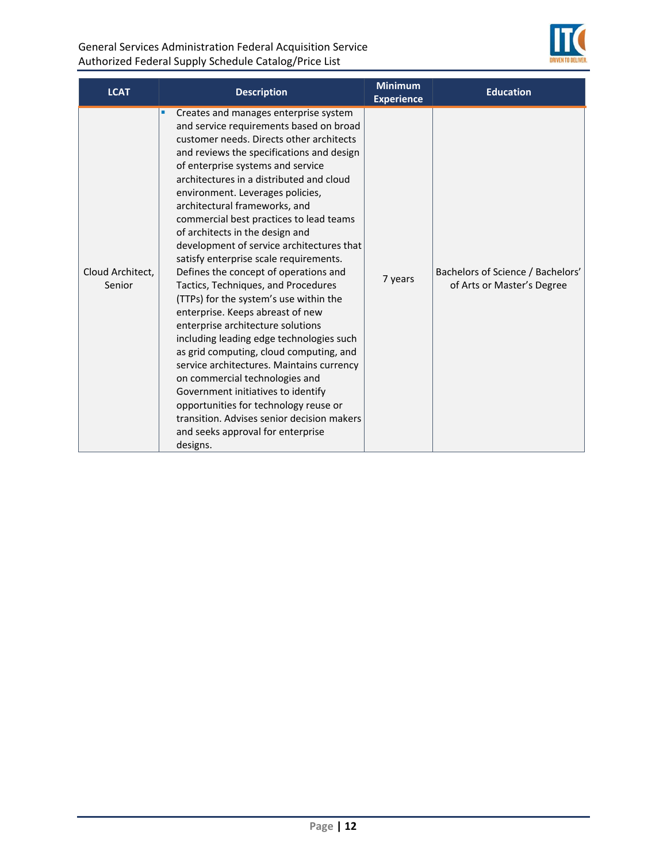

| <b>LCAT</b>                | <b>Description</b>                                                                                                                                                                                                                                                                                                                                                                                                                                                                                                                                                                                                                                                                                                                                                                                                                                                                                                                                                                                                                                          | <b>Minimum</b><br><b>Experience</b> | <b>Education</b>                                                |
|----------------------------|-------------------------------------------------------------------------------------------------------------------------------------------------------------------------------------------------------------------------------------------------------------------------------------------------------------------------------------------------------------------------------------------------------------------------------------------------------------------------------------------------------------------------------------------------------------------------------------------------------------------------------------------------------------------------------------------------------------------------------------------------------------------------------------------------------------------------------------------------------------------------------------------------------------------------------------------------------------------------------------------------------------------------------------------------------------|-------------------------------------|-----------------------------------------------------------------|
| Cloud Architect,<br>Senior | Creates and manages enterprise system<br>and service requirements based on broad<br>customer needs. Directs other architects<br>and reviews the specifications and design<br>of enterprise systems and service<br>architectures in a distributed and cloud<br>environment. Leverages policies,<br>architectural frameworks, and<br>commercial best practices to lead teams<br>of architects in the design and<br>development of service architectures that<br>satisfy enterprise scale requirements.<br>Defines the concept of operations and<br>Tactics, Techniques, and Procedures<br>(TTPs) for the system's use within the<br>enterprise. Keeps abreast of new<br>enterprise architecture solutions<br>including leading edge technologies such<br>as grid computing, cloud computing, and<br>service architectures. Maintains currency<br>on commercial technologies and<br>Government initiatives to identify<br>opportunities for technology reuse or<br>transition. Advises senior decision makers<br>and seeks approval for enterprise<br>designs. | 7 years                             | Bachelors of Science / Bachelors'<br>of Arts or Master's Degree |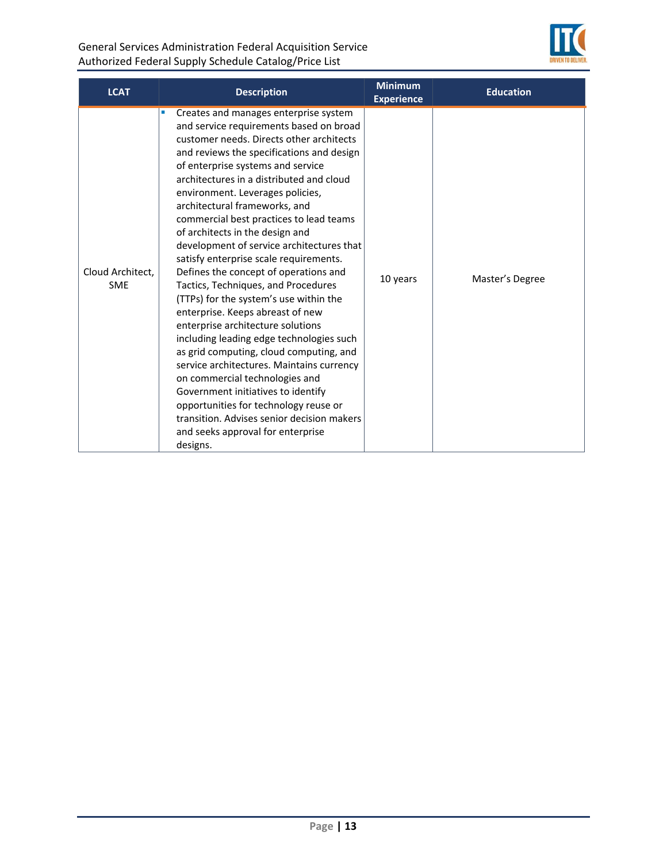

| <b>LCAT</b>                    | <b>Description</b>                                                                                                                                                                                                                                                                                                                                                                                                                                                                                                                                                                                                                                                                                                                                                                                                                                                                                                                                                                                                                                                                         | <b>Minimum</b><br><b>Experience</b> | <b>Education</b> |
|--------------------------------|--------------------------------------------------------------------------------------------------------------------------------------------------------------------------------------------------------------------------------------------------------------------------------------------------------------------------------------------------------------------------------------------------------------------------------------------------------------------------------------------------------------------------------------------------------------------------------------------------------------------------------------------------------------------------------------------------------------------------------------------------------------------------------------------------------------------------------------------------------------------------------------------------------------------------------------------------------------------------------------------------------------------------------------------------------------------------------------------|-------------------------------------|------------------|
| Cloud Architect,<br><b>SME</b> | Creates and manages enterprise system<br>$\mathcal{L}_{\mathcal{A}}$<br>and service requirements based on broad<br>customer needs. Directs other architects<br>and reviews the specifications and design<br>of enterprise systems and service<br>architectures in a distributed and cloud<br>environment. Leverages policies,<br>architectural frameworks, and<br>commercial best practices to lead teams<br>of architects in the design and<br>development of service architectures that<br>satisfy enterprise scale requirements.<br>Defines the concept of operations and<br>Tactics, Techniques, and Procedures<br>(TTPs) for the system's use within the<br>enterprise. Keeps abreast of new<br>enterprise architecture solutions<br>including leading edge technologies such<br>as grid computing, cloud computing, and<br>service architectures. Maintains currency<br>on commercial technologies and<br>Government initiatives to identify<br>opportunities for technology reuse or<br>transition. Advises senior decision makers<br>and seeks approval for enterprise<br>designs. | 10 years                            | Master's Degree  |